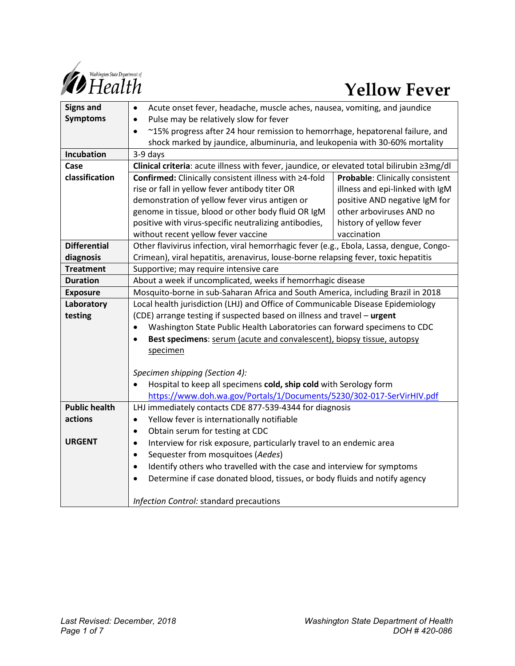

| <b>Signs and</b>     | Acute onset fever, headache, muscle aches, nausea, vomiting, and jaundice<br>$\bullet$     |                                 |
|----------------------|--------------------------------------------------------------------------------------------|---------------------------------|
| <b>Symptoms</b>      | Pulse may be relatively slow for fever<br>$\bullet$                                        |                                 |
|                      | ~15% progress after 24 hour remission to hemorrhage, hepatorenal failure, and<br>$\bullet$ |                                 |
|                      | shock marked by jaundice, albuminuria, and leukopenia with 30-60% mortality                |                                 |
| Incubation           | 3-9 days                                                                                   |                                 |
| Case                 | Clinical criteria: acute illness with fever, jaundice, or elevated total bilirubin 23mg/dl |                                 |
| classification       | Confirmed: Clinically consistent illness with ≥4-fold                                      | Probable: Clinically consistent |
|                      | rise or fall in yellow fever antibody titer OR                                             | illness and epi-linked with IgM |
|                      | demonstration of yellow fever virus antigen or                                             | positive AND negative IgM for   |
|                      | genome in tissue, blood or other body fluid OR IgM                                         | other arboviruses AND no        |
|                      | positive with virus-specific neutralizing antibodies,                                      | history of yellow fever         |
|                      | without recent yellow fever vaccine                                                        | vaccination                     |
| <b>Differential</b>  | Other flavivirus infection, viral hemorrhagic fever (e.g., Ebola, Lassa, dengue, Congo-    |                                 |
| diagnosis            | Crimean), viral hepatitis, arenavirus, louse-borne relapsing fever, toxic hepatitis        |                                 |
| <b>Treatment</b>     | Supportive; may require intensive care                                                     |                                 |
| <b>Duration</b>      | About a week if uncomplicated, weeks if hemorrhagic disease                                |                                 |
| <b>Exposure</b>      | Mosquito-borne in sub-Saharan Africa and South America, including Brazil in 2018           |                                 |
| Laboratory           | Local health jurisdiction (LHJ) and Office of Communicable Disease Epidemiology            |                                 |
| testing              | (CDE) arrange testing if suspected based on illness and travel - urgent                    |                                 |
|                      | Washington State Public Health Laboratories can forward specimens to CDC<br>$\bullet$      |                                 |
|                      | Best specimens: serum (acute and convalescent), biopsy tissue, autopsy<br>$\bullet$        |                                 |
|                      | specimen                                                                                   |                                 |
|                      |                                                                                            |                                 |
|                      | Specimen shipping (Section 4):                                                             |                                 |
|                      | Hospital to keep all specimens cold, ship cold with Serology form                          |                                 |
|                      | https://www.doh.wa.gov/Portals/1/Documents/5230/302-017-SerVirHIV.pdf                      |                                 |
| <b>Public health</b> | LHJ immediately contacts CDE 877-539-4344 for diagnosis                                    |                                 |
| actions              | Yellow fever is internationally notifiable<br>$\bullet$                                    |                                 |
|                      | Obtain serum for testing at CDC<br>$\bullet$                                               |                                 |
| <b>URGENT</b>        | Interview for risk exposure, particularly travel to an endemic area<br>$\bullet$           |                                 |
|                      | Sequester from mosquitoes (Aedes)<br>$\bullet$                                             |                                 |
|                      | Identify others who travelled with the case and interview for symptoms<br>$\bullet$        |                                 |
|                      | Determine if case donated blood, tissues, or body fluids and notify agency<br>$\bullet$    |                                 |
|                      |                                                                                            |                                 |
|                      | Infection Control: standard precautions                                                    |                                 |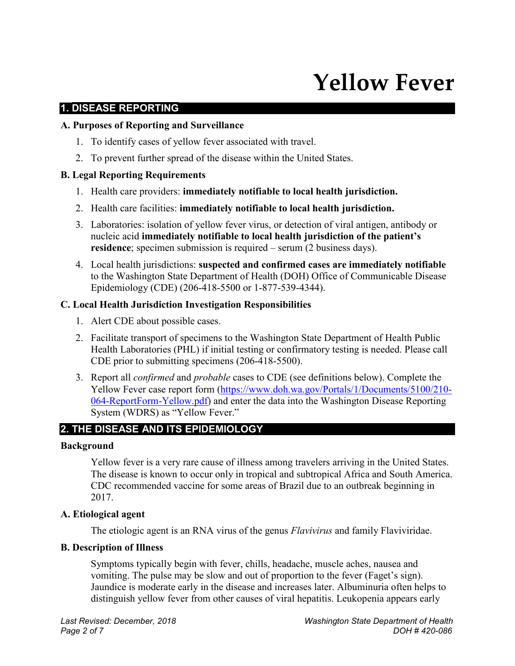# **Yellow Fever**

#### **1. DISEASE REPORTING**

#### **A. Purposes of Reporting and Surveillance**

- 1. To identify cases of yellow fever associated with travel.
- 2. To prevent further spread of the disease within the United States.

#### **B. Legal Reporting Requirements**

- 1. Health care providers: **immediately notifiable to local health jurisdiction.**
- 2. Health care facilities: **immediately notifiable to local health jurisdiction.**
- 3. Laboratories: isolation of yellow fever virus, or detection of viral antigen, antibody or nucleic acid **immediately notifiable to local health jurisdiction of the patient's residence**; specimen submission is required – serum (2 business days).
- 4. Local health jurisdictions: **suspected and confirmed cases are immediately notifiable** to the Washington State Department of Health (DOH) Office of Communicable Disease Epidemiology (CDE) (206-418-5500 or 1-877-539-4344).

#### **C. Local Health Jurisdiction Investigation Responsibilities**

- 1. Alert CDE about possible cases.
- 2. Facilitate transport of specimens to the Washington State Department of Health Public Health Laboratories (PHL) if initial testing or confirmatory testing is needed. Please call CDE prior to submitting specimens (206-418-5500).
- 3. Report all *confirmed* and *probable* cases to CDE (see definitions below). Complete the Yellow Fever case report form [\(https://www.doh.wa.gov/Portals/1/Documents/5100/210-](https://www.doh.wa.gov/Portals/1/Documents/5100/210-064-ReportForm-Yellow.pdf) [064-ReportForm-Yellow.pdf\)](https://www.doh.wa.gov/Portals/1/Documents/5100/210-064-ReportForm-Yellow.pdf) and enter the data into the Washington Disease Reporting System (WDRS) as "Yellow Fever."

# **2. THE DISEASE AND ITS EPIDEMIOLOGY**

#### **Background**

Yellow fever is a very rare cause of illness among travelers arriving in the United States. The disease is known to occur only in tropical and subtropical Africa and South America. CDC recommended vaccine for some areas of Brazil due to an outbreak beginning in 2017.

#### **A. Etiological agent**

The etiologic agent is an RNA virus of the genus *Flavivirus* and family Flaviviridae.

#### **B. Description of Illness**

Symptoms typically begin with fever, chills, headache, muscle aches, nausea and vomiting. The pulse may be slow and out of proportion to the fever (Faget's sign). Jaundice is moderate early in the disease and increases later. Albuminuria often helps to distinguish yellow fever from other causes of viral hepatitis. Leukopenia appears early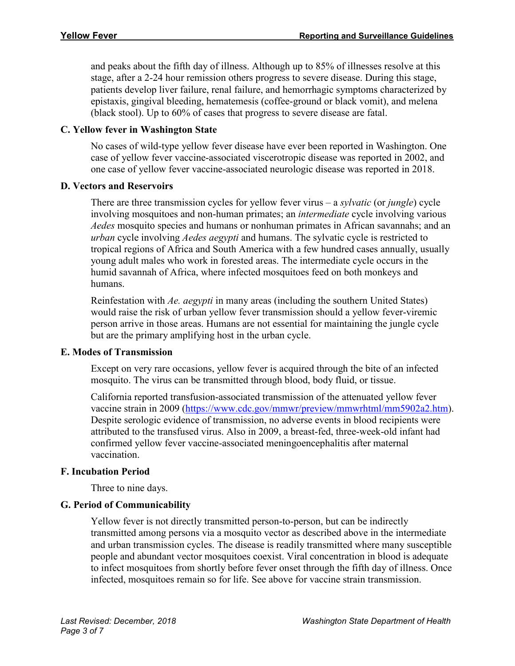and peaks about the fifth day of illness. Although up to 85% of illnesses resolve at this stage, after a 2-24 hour remission others progress to severe disease. During this stage, patients develop liver failure, renal failure, and hemorrhagic symptoms characterized by epistaxis, gingival bleeding, hematemesis (coffee-ground or black vomit), and melena (black stool). Up to 60% of cases that progress to severe disease are fatal.

#### **C. Yellow fever in Washington State**

No cases of wild-type yellow fever disease have ever been reported in Washington. One case of yellow fever vaccine-associated viscerotropic disease was reported in 2002, and one case of yellow fever vaccine-associated neurologic disease was reported in 2018.

#### **D. Vectors and Reservoirs**

There are three transmission cycles for yellow fever virus – a *sylvatic* (or *jungle*) cycle involving mosquitoes and non-human primates; an *intermediate* cycle involving various *Aedes* mosquito species and humans or nonhuman primates in African savannahs; and an *urban* cycle involving *Aedes aegypti* and humans. The sylvatic cycle is restricted to tropical regions of Africa and South America with a few hundred cases annually, usually young adult males who work in forested areas. The intermediate cycle occurs in the humid savannah of Africa, where infected mosquitoes feed on both monkeys and humans.

Reinfestation with *Ae. aegypti* in many areas (including the southern United States) would raise the risk of urban yellow fever transmission should a yellow fever-viremic person arrive in those areas. Humans are not essential for maintaining the jungle cycle but are the primary amplifying host in the urban cycle.

#### **E. Modes of Transmission**

Except on very rare occasions, yellow fever is acquired through the bite of an infected mosquito. The virus can be transmitted through blood, body fluid, or tissue.

California reported transfusion-associated transmission of the attenuated yellow fever vaccine strain in 2009 [\(https://www.cdc.gov/mmwr/preview/mmwrhtml/mm5902a2.htm\)](https://www.cdc.gov/mmwr/preview/mmwrhtml/mm5902a2.htm). Despite serologic evidence of transmission, no adverse events in blood recipients were attributed to the transfused virus. Also in 2009, a breast-fed, three-week-old infant had confirmed yellow fever vaccine-associated meningoencephalitis after maternal vaccination.

#### **F. Incubation Period**

Three to nine days.

#### **G. Period of Communicability**

Yellow fever is not directly transmitted person-to-person, but can be indirectly transmitted among persons via a mosquito vector as described above in the intermediate and urban transmission cycles. The disease is readily transmitted where many susceptible people and abundant vector mosquitoes coexist. Viral concentration in blood is adequate to infect mosquitoes from shortly before fever onset through the fifth day of illness. Once infected, mosquitoes remain so for life. See above for vaccine strain transmission.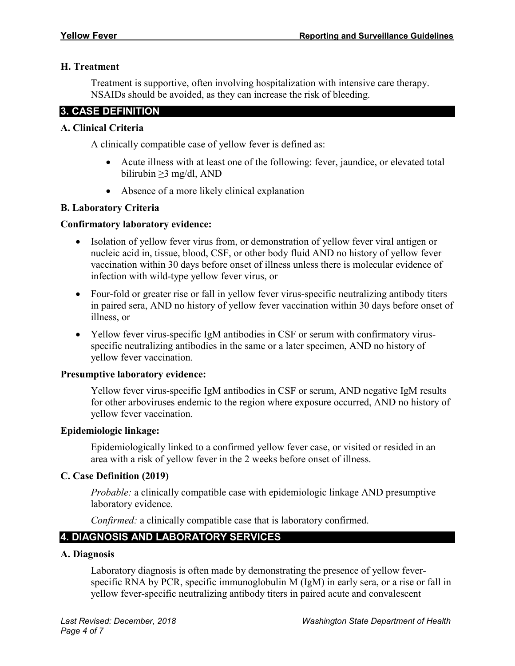#### **H. Treatment**

Treatment is supportive, often involving hospitalization with intensive care therapy. NSAIDs should be avoided, as they can increase the risk of bleeding.

# **3. CASE DEFINITION**

#### **A. Clinical Criteria**

A clinically compatible case of yellow fever is defined as:

- Acute illness with at least one of the following: fever, jaundice, or elevated total bilirubin ≥3 mg/dl, AND
- Absence of a more likely clinical explanation

#### **B. Laboratory Criteria**

#### **Confirmatory laboratory evidence:**

- Isolation of yellow fever virus from, or demonstration of yellow fever viral antigen or nucleic acid in, tissue, blood, CSF, or other body fluid AND no history of yellow fever vaccination within 30 days before onset of illness unless there is molecular evidence of infection with wild-type yellow fever virus, or
- Four-fold or greater rise or fall in yellow fever virus-specific neutralizing antibody titers in paired sera, AND no history of yellow fever vaccination within 30 days before onset of illness, or
- Yellow fever virus-specific IgM antibodies in CSF or serum with confirmatory virusspecific neutralizing antibodies in the same or a later specimen, AND no history of yellow fever vaccination.

#### **Presumptive laboratory evidence:**

Yellow fever virus-specific IgM antibodies in CSF or serum, AND negative IgM results for other arboviruses endemic to the region where exposure occurred, AND no history of yellow fever vaccination.

#### **Epidemiologic linkage:**

Epidemiologically linked to a confirmed yellow fever case, or visited or resided in an area with a risk of yellow fever in the 2 weeks before onset of illness.

#### **C. Case Definition (2019)**

*Probable:* a clinically compatible case with epidemiologic linkage AND presumptive laboratory evidence.

*Confirmed:* a clinically compatible case that is laboratory confirmed.

# **4. DIAGNOSIS AND LABORATORY SERVICES**

#### **A. Diagnosis**

Laboratory diagnosis is often made by demonstrating the presence of yellow feverspecific RNA by PCR, specific immunoglobulin M (IgM) in early sera, or a rise or fall in yellow fever-specific neutralizing antibody titers in paired acute and convalescent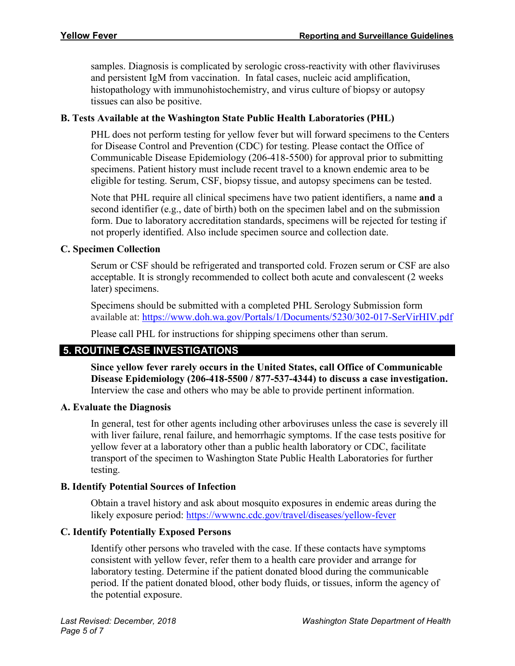samples. Diagnosis is complicated by serologic cross-reactivity with other flaviviruses and persistent IgM from vaccination. In fatal cases, nucleic acid amplification, histopathology with immunohistochemistry, and virus culture of biopsy or autopsy tissues can also be positive.

#### **B. Tests Available at the Washington State Public Health Laboratories (PHL)**

PHL does not perform testing for yellow fever but will forward specimens to the Centers for Disease Control and Prevention (CDC) for testing. Please contact the Office of Communicable Disease Epidemiology (206-418-5500) for approval prior to submitting specimens. Patient history must include recent travel to a known endemic area to be eligible for testing. Serum, CSF, biopsy tissue, and autopsy specimens can be tested.

Note that PHL require all clinical specimens have two patient identifiers, a name **and** a second identifier (e.g., date of birth) both on the specimen label and on the submission form. Due to laboratory accreditation standards, specimens will be rejected for testing if not properly identified. Also include specimen source and collection date.

#### **C. Specimen Collection**

Serum or CSF should be refrigerated and transported cold. Frozen serum or CSF are also acceptable. It is strongly recommended to collect both acute and convalescent (2 weeks later) specimens.

Specimens should be submitted with a completed PHL Serology Submission form available at:<https://www.doh.wa.gov/Portals/1/Documents/5230/302-017-SerVirHIV.pdf>

Please call PHL for instructions for shipping specimens other than serum.

# **5. ROUTINE CASE INVESTIGATIONS**

**Since yellow fever rarely occurs in the United States, call Office of Communicable Disease Epidemiology (206-418-5500 / 877-537-4344) to discuss a case investigation.** Interview the case and others who may be able to provide pertinent information.

#### **A. Evaluate the Diagnosis**

In general, test for other agents including other arboviruses unless the case is severely ill with liver failure, renal failure, and hemorrhagic symptoms. If the case tests positive for yellow fever at a laboratory other than a public health laboratory or CDC, facilitate transport of the specimen to Washington State Public Health Laboratories for further testing.

#### **B. Identify Potential Sources of Infection**

Obtain a travel history and ask about mosquito exposures in endemic areas during the likely exposure period:<https://wwwnc.cdc.gov/travel/diseases/yellow-fever>

#### **C. Identify Potentially Exposed Persons**

Identify other persons who traveled with the case. If these contacts have symptoms consistent with yellow fever, refer them to a health care provider and arrange for laboratory testing. Determine if the patient donated blood during the communicable period. If the patient donated blood, other body fluids, or tissues, inform the agency of the potential exposure.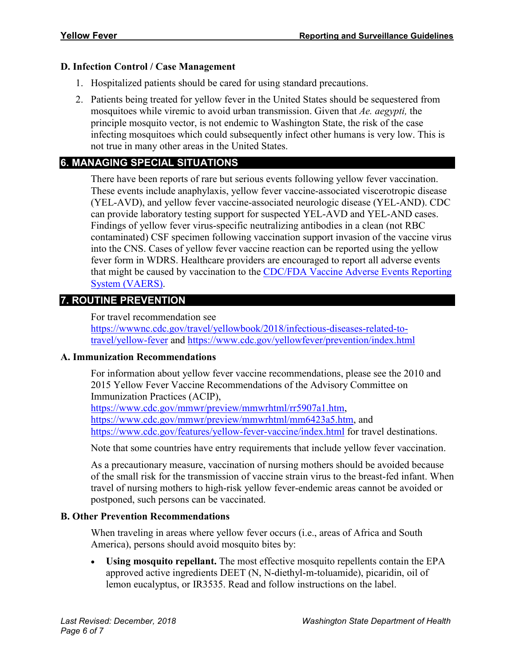#### **D. Infection Control / Case Management**

- 1. Hospitalized patients should be cared for using standard precautions.
- 2. Patients being treated for yellow fever in the United States should be sequestered from mosquitoes while viremic to avoid urban transmission. Given that *Ae. aegypti,* the principle mosquito vector, is not endemic to Washington State, the risk of the case infecting mosquitoes which could subsequently infect other humans is very low. This is not true in many other areas in the United States.

# **6. MANAGING SPECIAL SITUATIONS**

There have been reports of rare but serious events following yellow fever vaccination. These events include anaphylaxis, yellow fever vaccine-associated viscerotropic disease (YEL-AVD), and yellow fever vaccine-associated neurologic disease (YEL-AND). CDC can provide laboratory testing support for suspected YEL-AVD and YEL-AND cases. Findings of yellow fever virus-specific neutralizing antibodies in a clean (not RBC contaminated) CSF specimen following vaccination support invasion of the vaccine virus into the CNS. Cases of yellow fever vaccine reaction can be reported using the yellow fever form in WDRS. Healthcare providers are encouraged to report all adverse events that might be caused by vaccination to the [CDC/FDA Vaccine Adverse Events Reporting](https://vaers.hhs.gov/index)  [System \(VAERS\).](https://vaers.hhs.gov/index)

# **7. ROUTINE PREVENTION**

For travel recommendation see

[https://wwwnc.cdc.gov/travel/yellowbook/2018/infectious-diseases-related-to](https://wwwnc.cdc.gov/travel/yellowbook/2018/infectious-diseases-related-to-travel/yellow-fever)[travel/yellow-fever](https://wwwnc.cdc.gov/travel/yellowbook/2018/infectious-diseases-related-to-travel/yellow-fever) and<https://www.cdc.gov/yellowfever/prevention/index.html>

#### **A. Immunization Recommendations**

For information about yellow fever vaccine recommendations, please see the 2010 and 2015 Yellow Fever Vaccine Recommendations of the Advisory Committee on Immunization Practices (ACIP),

[https://www.cdc.gov/mmwr/preview/mmwrhtml/rr5907a1.htm,](https://www.cdc.gov/mmwr/preview/mmwrhtml/rr5907a1.htm) [https://www.cdc.gov/mmwr/preview/mmwrhtml/mm6423a5.htm,](https://www.cdc.gov/mmwr/preview/mmwrhtml/mm6423a5.htm) and <https://www.cdc.gov/features/yellow-fever-vaccine/index.html> for travel destinations.

Note that some countries have entry requirements that include yellow fever vaccination.

As a precautionary measure, vaccination of nursing mothers should be avoided because of the small risk for the transmission of vaccine strain virus to the breast-fed infant. When travel of nursing mothers to high-risk yellow fever-endemic areas cannot be avoided or postponed, such persons can be vaccinated.

# **B. Other Prevention Recommendations**

When traveling in areas where yellow fever occurs (i.e., areas of Africa and South America), persons should avoid mosquito bites by:

• **Using mosquito repellant.** The most effective mosquito repellents contain the EPA approved active ingredients DEET (N, N-diethyl-m-toluamide), picaridin, oil of lemon eucalyptus, or IR3535. Read and follow instructions on the label.